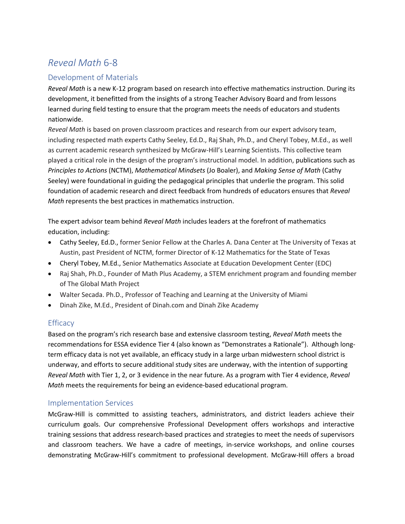## *Reveal Math* 6-8

## Development of Materials

*Reveal Math* is a new K-12 program based on research into effective mathematics instruction. During its development, it benefitted from the insights of a strong Teacher Advisory Board and from lessons learned during field testing to ensure that the program meets the needs of educators and students nationwide.

*Reveal Math* is based on proven classroom practices and research from our expert advisory team, including respected math experts Cathy Seeley, Ed.D., Raj Shah, Ph.D., and Cheryl Tobey, M.Ed., as well as current academic research synthesized by McGraw-Hill's Learning Scientists. This collective team played a critical role in the design of the program's instructional model. In addition, publications such as *Principles to Actions* (NCTM), *Mathematical Mindsets* (Jo Boaler), and *Making Sense of Math* (Cathy Seeley) were foundational in guiding the pedagogical principles that underlie the program. This solid foundation of academic research and direct feedback from hundreds of educators ensures that *Reveal Math* represents the best practices in mathematics instruction.

The expert advisor team behind *Reveal Math* includes leaders at the forefront of mathematics education, including:

- Cathy Seeley, Ed.D., former Senior Fellow at the Charles A. Dana Center at The University of Texas at Austin, past President of NCTM, former Director of K-12 Mathematics for the State of Texas
- Cheryl Tobey, M.Ed., Senior Mathematics Associate at Education Development Center (EDC)
- Raj Shah, Ph.D., Founder of Math Plus Academy, a STEM enrichment program and founding member of The Global Math Project
- Walter Secada. Ph.D., Professor of Teaching and Learning at the University of Miami
- Dinah Zike, M.Ed., President of Dinah.com and Dinah Zike Academy

## **Efficacy**

Based on the program's rich research base and extensive classroom testing, *Reveal Math* meets the recommendations for ESSA evidence Tier 4 (also known as "Demonstrates a Rationale"). Although longterm efficacy data is not yet available, an efficacy study in a large urban midwestern school district is underway, and efforts to secure additional study sites are underway, with the intention of supporting *Reveal Math* with Tier 1, 2, or 3 evidence in the near future. As a program with Tier 4 evidence, *Reveal Math* meets the requirements for being an evidence-based educational program.

## Implementation Services

McGraw-Hill is committed to assisting teachers, administrators, and district leaders achieve their curriculum goals. Our comprehensive Professional Development offers workshops and interactive training sessions that address research-based practices and strategies to meet the needs of supervisors and classroom teachers. We have a cadre of meetings, in-service workshops, and online courses demonstrating McGraw-Hill's commitment to professional development. McGraw-Hill offers a broad